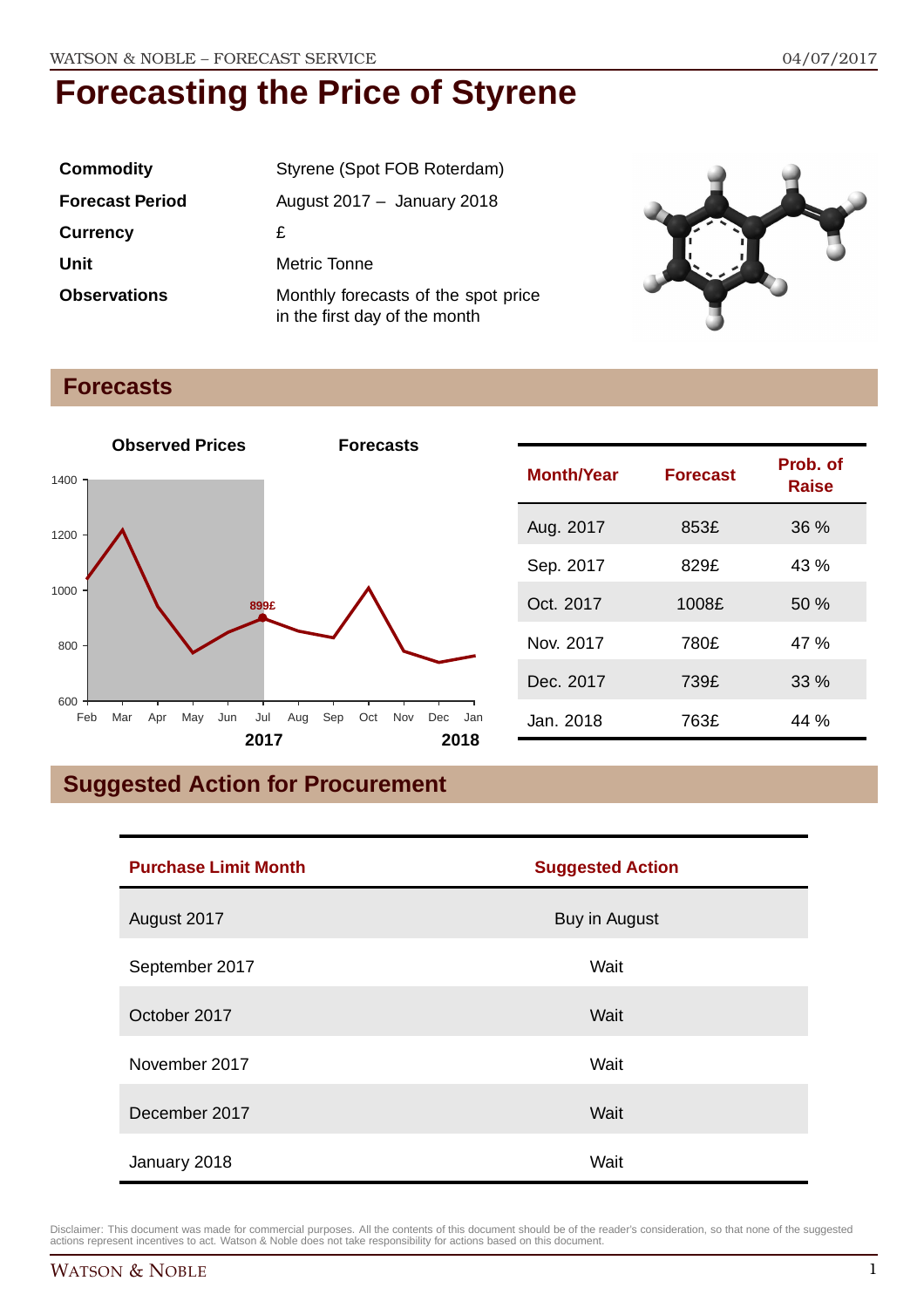| <b>Commodity</b>       | Styrene (Spot FOB Roterdam)                                          |
|------------------------|----------------------------------------------------------------------|
| <b>Forecast Period</b> | August $2017 -$ January 2018                                         |
| <b>Currency</b>        | £                                                                    |
| Unit                   | Metric Tonne                                                         |
| <b>Observations</b>    | Monthly forecasts of the spot price<br>in the first day of the month |



### **Forecasts**



| <b>Month/Year</b> | <b>Forecast</b> | Prob. of<br><b>Raise</b> |
|-------------------|-----------------|--------------------------|
| Aug. 2017         | 853£            | 36%                      |
| Sep. 2017         | 829£            | 43 %                     |
| Oct. 2017         | 1008£           | 50%                      |
| Nov. 2017         | 780£            | 47 %                     |
| Dec. 2017         | 739£            | 33%                      |
| Jan. 2018         | 763£            | 44 %                     |

# **Suggested Action for Procurement**

| <b>Purchase Limit Month</b> | <b>Suggested Action</b> |  |
|-----------------------------|-------------------------|--|
| August 2017                 | Buy in August           |  |
| September 2017              | Wait                    |  |
| October 2017                | Wait                    |  |
| November 2017               | Wait                    |  |
| December 2017               | Wait                    |  |
| January 2018                | Wait                    |  |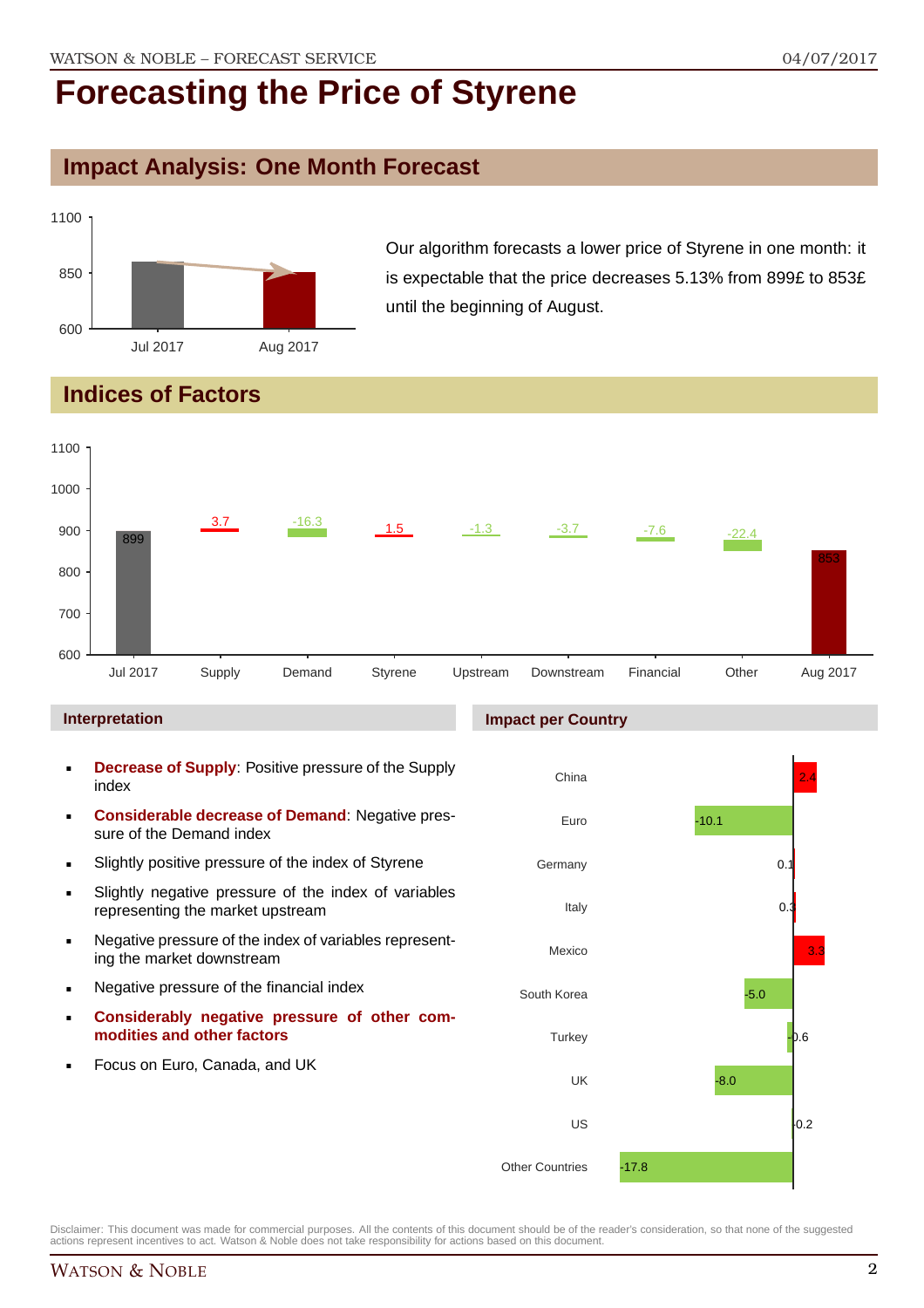### **Impact Analysis: One Month Forecast**



Our algorithm forecasts a lower price of Styrene in one month: it is expectable that the price decreases 5.13% from 899£ to 853£ until the beginning of August.

## **Indices of Factors**



#### **Interpretation**

- **Decrease of Supply**: Positive pressure of the Supply index
- **Considerable decrease of Demand**: Negative pressure of the Demand index
- **Slightly positive pressure of the index of Styrene**
- Slightly negative pressure of the index of variables representing the market upstream
- Negative pressure of the index of variables representing the market downstream
- **Negative pressure of the financial index**
- **Considerably negative pressure of other commodities and other factors**
- Focus on Euro, Canada, and UK

### **Impact per Country**

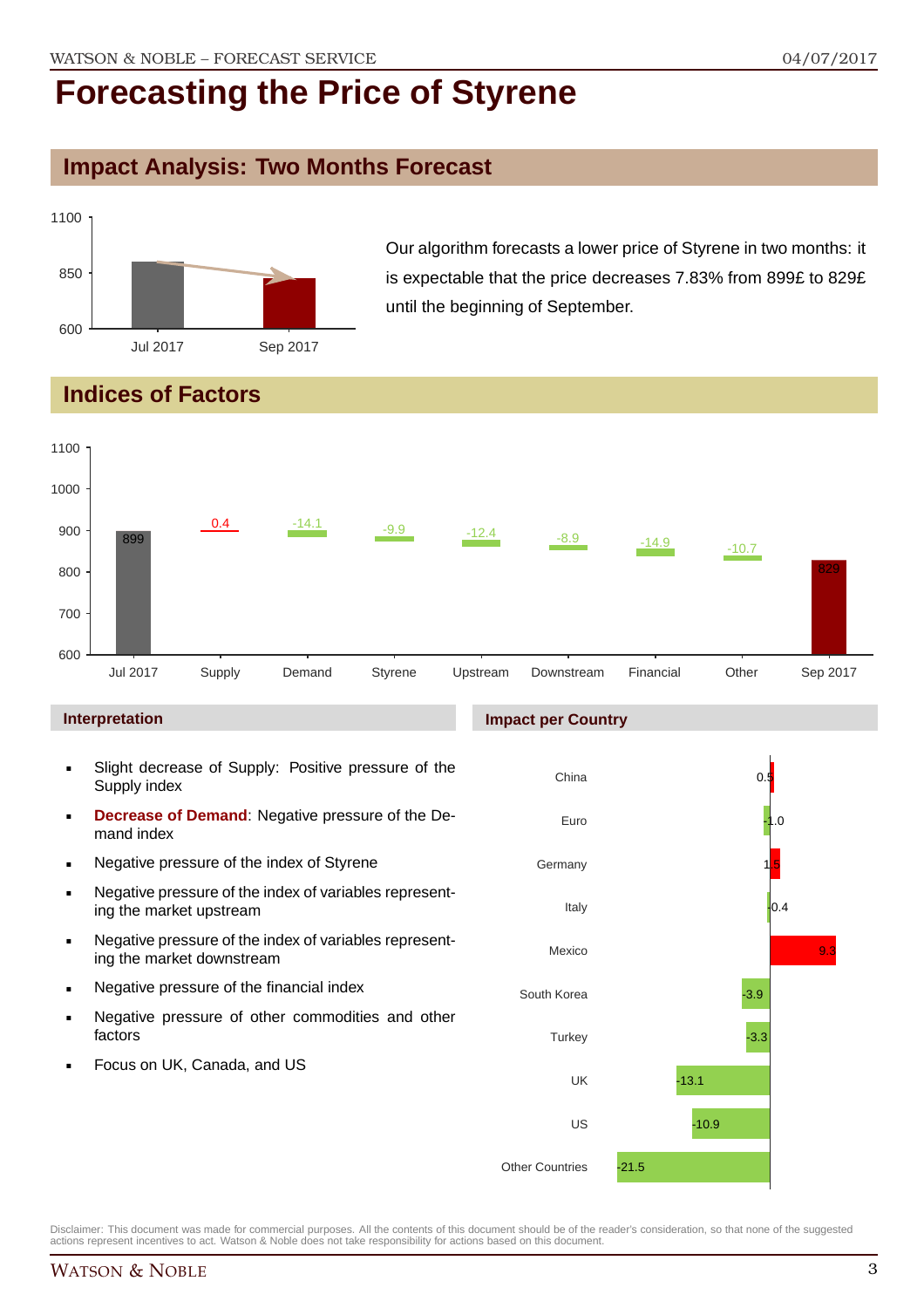# **Impact Analysis: Two Months Forecast**



Our algorithm forecasts a lower price of Styrene in two months: it is expectable that the price decreases 7.83% from 899£ to 829£ until the beginning of September.

## **Indices of Factors**



#### **Interpretation**

- Slight decrease of Supply: Positive pressure of the Supply index
- **Decrease of Demand**: Negative pressure of the Demand index
- **Negative pressure of the index of Styrene**
- Negative pressure of the index of variables representing the market upstream
- Negative pressure of the index of variables representing the market downstream
- **Negative pressure of the financial index**
- **Negative pressure of other commodities and other** factors
- Focus on UK, Canada, and US

#### **Impact per Country**

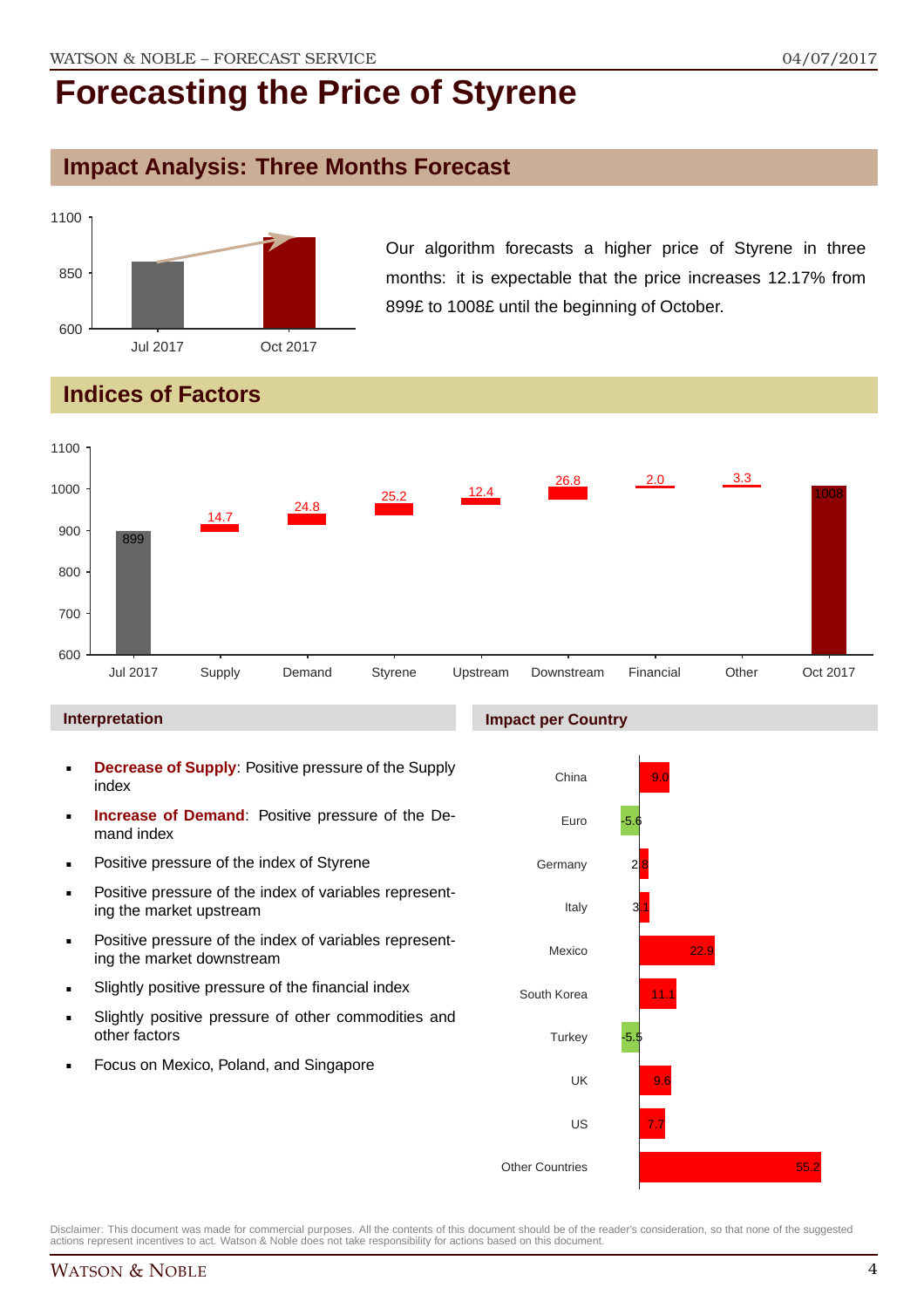### **Impact Analysis: Three Months Forecast**



Our algorithm forecasts a higher price of Styrene in three months: it is expectable that the price increases 12.17% from 899£ to 1008£ until the beginning of October.

## **Indices of Factors**



#### **Interpretation**

- **Decrease of Supply**: Positive pressure of the Supply index
- **Increase of Demand**: Positive pressure of the Demand index
- **Positive pressure of the index of Styrene**
- Positive pressure of the index of variables representing the market upstream
- **Positive pressure of the index of variables represent**ing the market downstream
- **Slightly positive pressure of the financial index**
- Slightly positive pressure of other commodities and other factors
- Focus on Mexico, Poland, and Singapore

#### **Impact per Country**

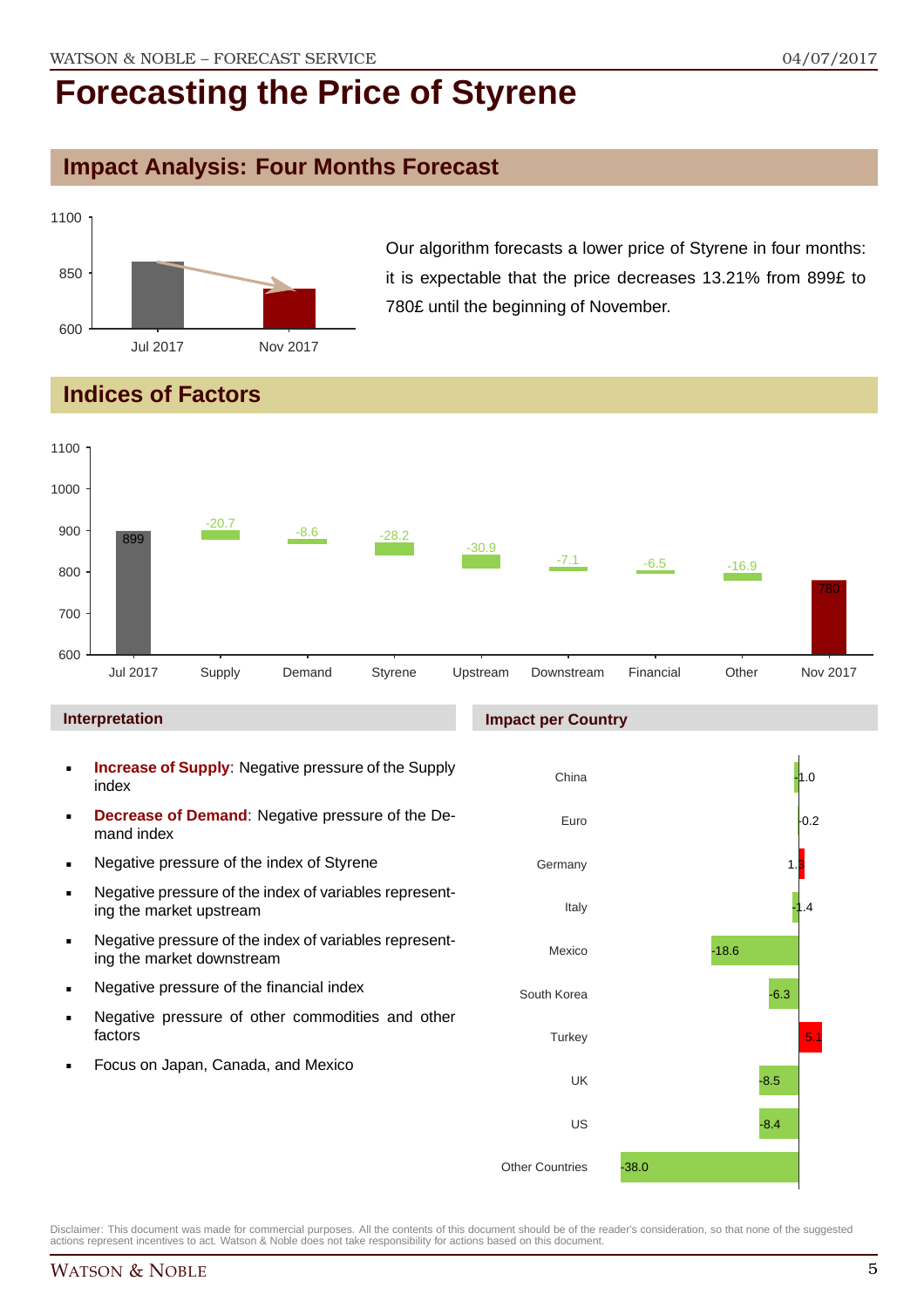# **Impact Analysis: Four Months Forecast**



Our algorithm forecasts a lower price of Styrene in four months: it is expectable that the price decreases 13.21% from 899£ to 780£ until the beginning of November.

## **Indices of Factors**



#### **Interpretation**

- **Increase of Supply**: Negative pressure of the Supply index
- **Decrease of Demand**: Negative pressure of the Demand index
- **Negative pressure of the index of Styrene**
- Negative pressure of the index of variables representing the market upstream
- Negative pressure of the index of variables representing the market downstream
- **Negative pressure of the financial index**
- **Negative pressure of other commodities and other** factors
- Focus on Japan, Canada, and Mexico

#### **Impact per Country**

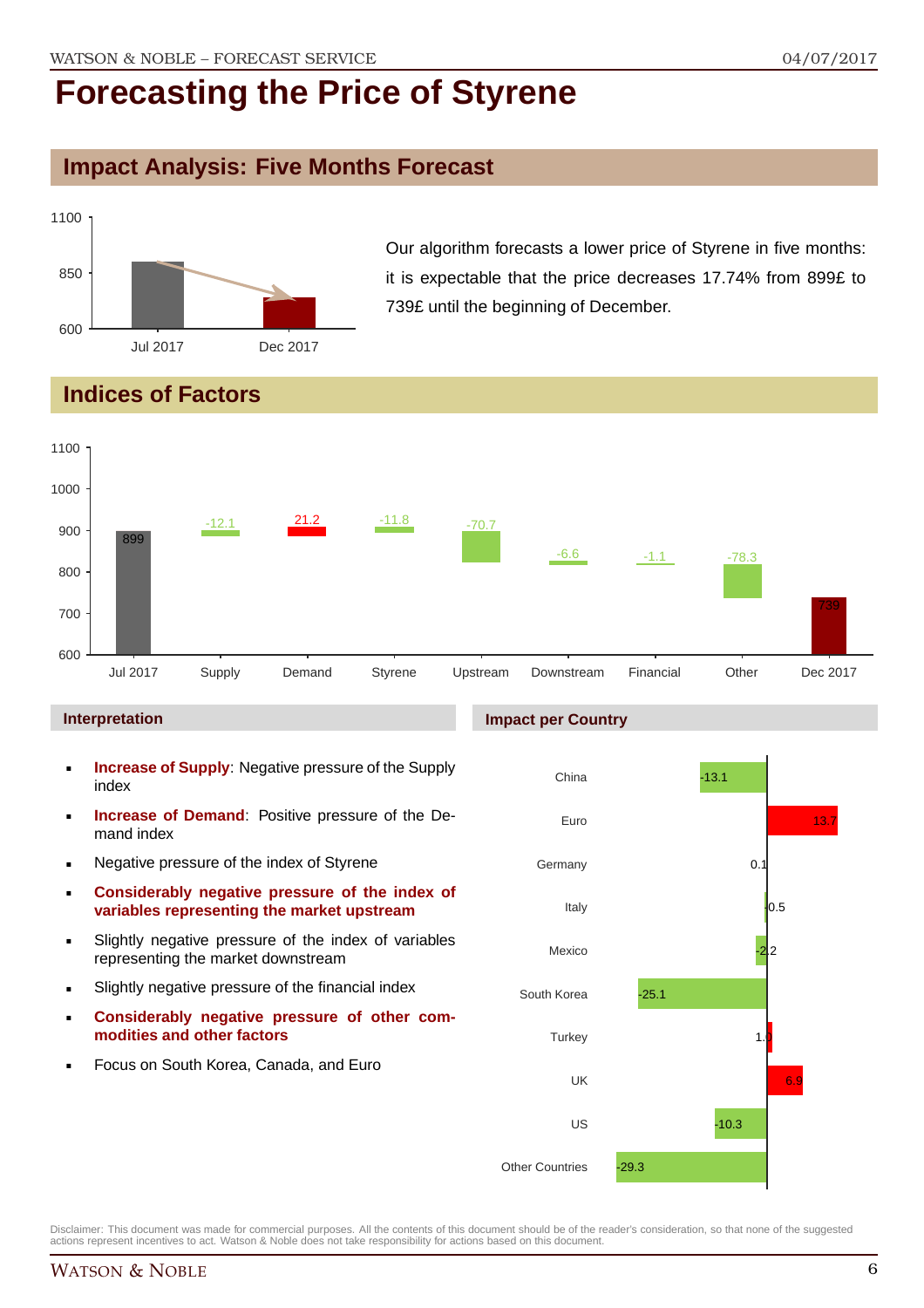### **Impact Analysis: Five Months Forecast**



Our algorithm forecasts a lower price of Styrene in five months: it is expectable that the price decreases 17.74% from 899£ to 739£ until the beginning of December.

## **Indices of Factors**



#### **Interpretation**

- **Increase of Supply**: Negative pressure of the Supply index
- **Increase of Demand**: Positive pressure of the Demand index
- **Negative pressure of the index of Styrene**
- **Considerably negative pressure of the index of variables representing the market upstream**
- Slightly negative pressure of the index of variables representing the market downstream
- Slightly negative pressure of the financial index
- **Considerably negative pressure of other commodities and other factors**
- Focus on South Korea, Canada, and Euro

#### **Impact per Country**

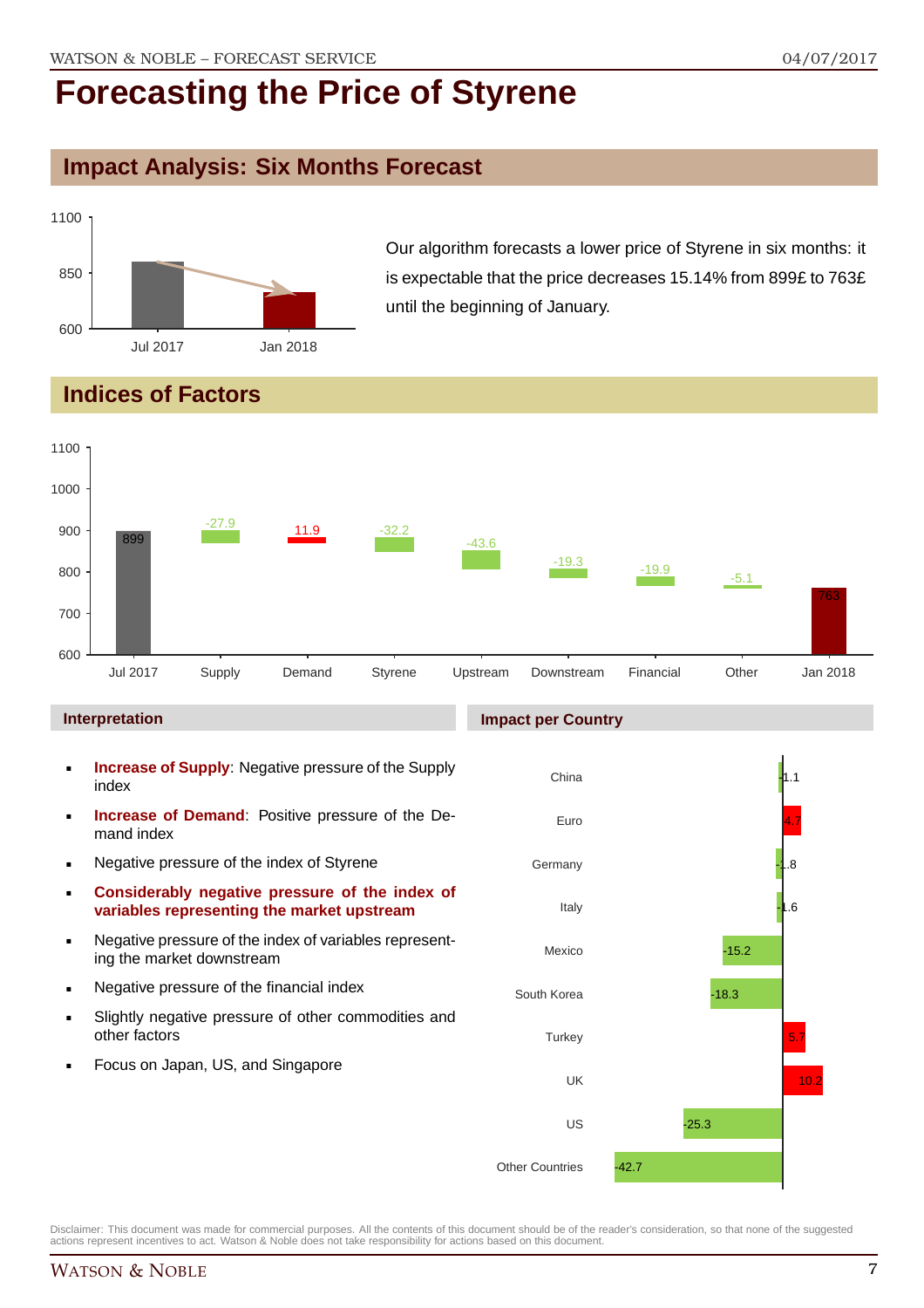## **Impact Analysis: Six Months Forecast**



Our algorithm forecasts a lower price of Styrene in six months: it is expectable that the price decreases 15.14% from 899£ to 763£ until the beginning of January.

## **Indices of Factors**



#### **Interpretation**

- **Increase of Supply**: Negative pressure of the Supply index
- **Increase of Demand**: Positive pressure of the Demand index
- **Negative pressure of the index of Styrene**
- **Considerably negative pressure of the index of variables representing the market upstream**
- Negative pressure of the index of variables representing the market downstream
- **Negative pressure of the financial index**
- Slightly negative pressure of other commodities and other factors
- Focus on Japan, US, and Singapore

#### China Euro Germany Italy Mexico South Korea **Turkey** UK US Other Countries  $-1$ 4.7 -1.8 -1.6 -15.2 -18.3 5.7  $10.2$ -25.3 -42.7

Disclaimer: This document was made for commercial purposes. All the contents of this document should be of the reader's consideration, so that none of the suggested actions represent incentives to act. Watson & Noble does not take responsibility for actions based on this document.

#### **Impact per Country**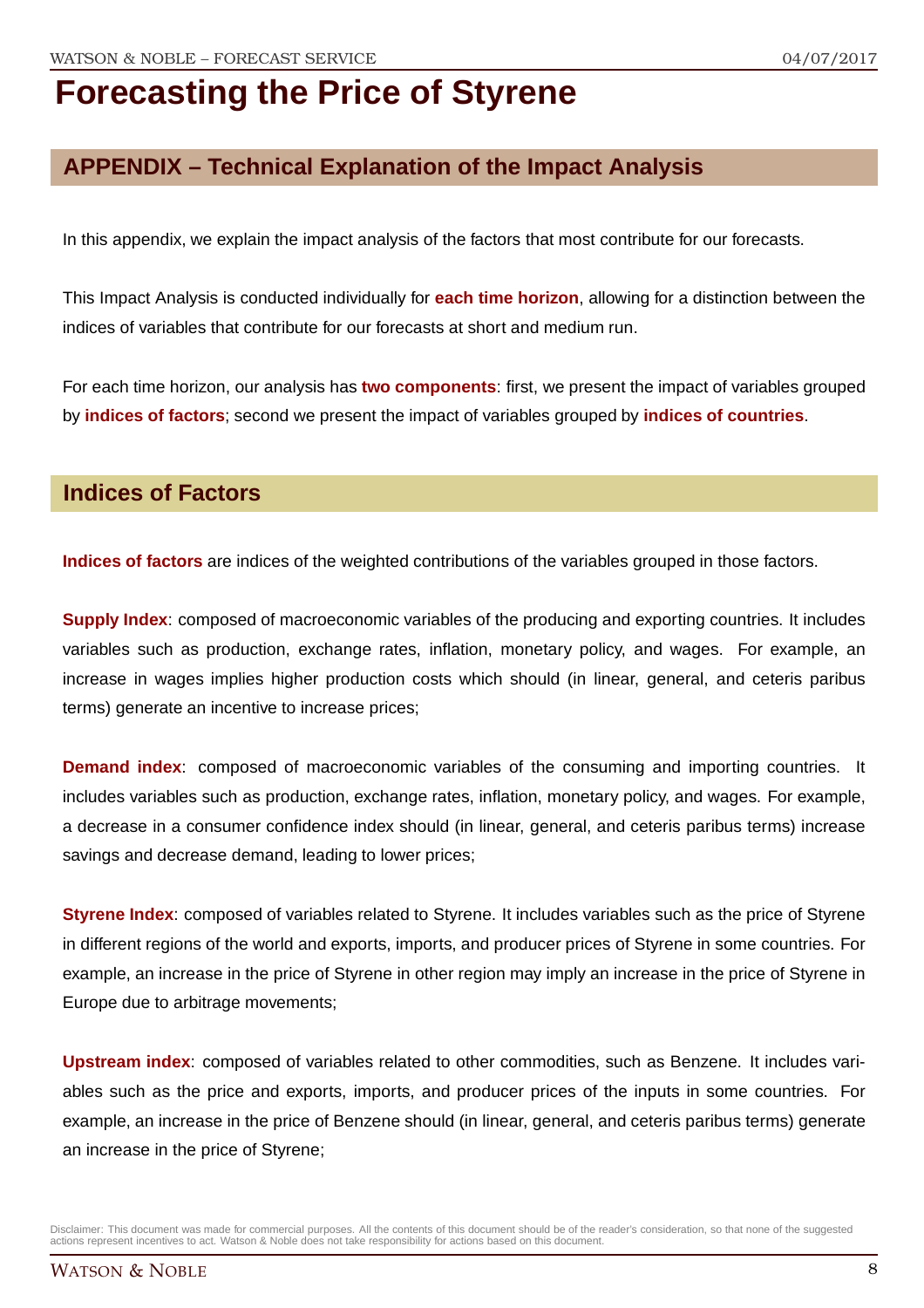## **APPENDIX – Technical Explanation of the Impact Analysis**

In this appendix, we explain the impact analysis of the factors that most contribute for our forecasts.

This Impact Analysis is conducted individually for **each time horizon**, allowing for a distinction between the indices of variables that contribute for our forecasts at short and medium run.

For each time horizon, our analysis has **two components**: first, we present the impact of variables grouped by **indices of factors**; second we present the impact of variables grouped by **indices of countries**.

### **Indices of Factors**

**Indices of factors** are indices of the weighted contributions of the variables grouped in those factors.

**Supply Index**: composed of macroeconomic variables of the producing and exporting countries. It includes variables such as production, exchange rates, inflation, monetary policy, and wages. For example, an increase in wages implies higher production costs which should (in linear, general, and ceteris paribus terms) generate an incentive to increase prices;

**Demand index**: composed of macroeconomic variables of the consuming and importing countries. It includes variables such as production, exchange rates, inflation, monetary policy, and wages. For example, a decrease in a consumer confidence index should (in linear, general, and ceteris paribus terms) increase savings and decrease demand, leading to lower prices;

**Styrene Index**: composed of variables related to Styrene. It includes variables such as the price of Styrene in different regions of the world and exports, imports, and producer prices of Styrene in some countries. For example, an increase in the price of Styrene in other region may imply an increase in the price of Styrene in Europe due to arbitrage movements;

**Upstream index**: composed of variables related to other commodities, such as Benzene. It includes variables such as the price and exports, imports, and producer prices of the inputs in some countries. For example, an increase in the price of Benzene should (in linear, general, and ceteris paribus terms) generate an increase in the price of Styrene;